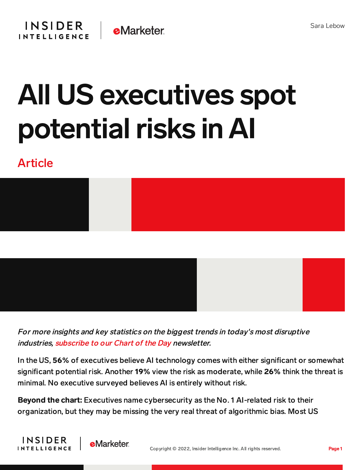

## All US executives spot potential risks in AI

## Article

**INSIDER** 

**INTELLIGENCE** 



For more insights and key statistics on the biggest trends in today's most disruptive industries, [subscribe](https://www.businessinsider.com/intelligence/chart-of-the-day-newsletter?IR=T&itm_source=insiderintelligence&itm_medium=inline_cotd&itm_content=chart-of-the-day-newsletter) to our Chart of the Day newsletter.

In the US, 56% of executives believe AI technology comes with either significant or somewhat significant potential risk. Another 19% view the risk as moderate, while 26% think the threat is minimal. No executive surveyed believes AI is entirely without risk.

Beyond the chart: Executives name cybersecurity as the No. 1 AI-related risk to their organization, but they may be missing the very real threat of algorithmic bias. Most US